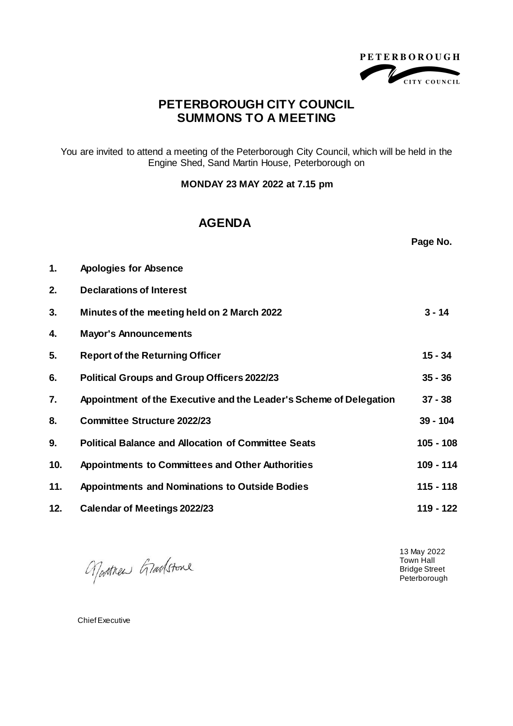

## **PETERBOROUGH CITY COUNCIL SUMMONS TO A MEETING**

You are invited to attend a meeting of the Peterborough City Council, which will be held in the Engine Shed, Sand Martin House, Peterborough on

**MONDAY 23 MAY 2022 at 7.15 pm**

## **AGENDA**

|     |                                                                    | Page No.    |
|-----|--------------------------------------------------------------------|-------------|
| 1.  | <b>Apologies for Absence</b>                                       |             |
| 2.  | <b>Declarations of Interest</b>                                    |             |
| 3.  | Minutes of the meeting held on 2 March 2022                        | $3 - 14$    |
| 4.  | <b>Mayor's Announcements</b>                                       |             |
| 5.  | <b>Report of the Returning Officer</b>                             | $15 - 34$   |
| 6.  | <b>Political Groups and Group Officers 2022/23</b>                 | $35 - 36$   |
| 7.  | Appointment of the Executive and the Leader's Scheme of Delegation | $37 - 38$   |
| 8.  | <b>Committee Structure 2022/23</b>                                 | $39 - 104$  |
| 9.  | <b>Political Balance and Allocation of Committee Seats</b>         | 105 - 108   |
| 10. | <b>Appointments to Committees and Other Authorities</b>            | 109 - 114   |
| 11. | <b>Appointments and Nominations to Outside Bodies</b>              | $115 - 118$ |
| 12. | <b>Calendar of Meetings 2022/23</b>                                | 119 - 122   |

Norther Gradstone

13 May 2022 Town Hall Bridge Street Peterborough

Chief Executive